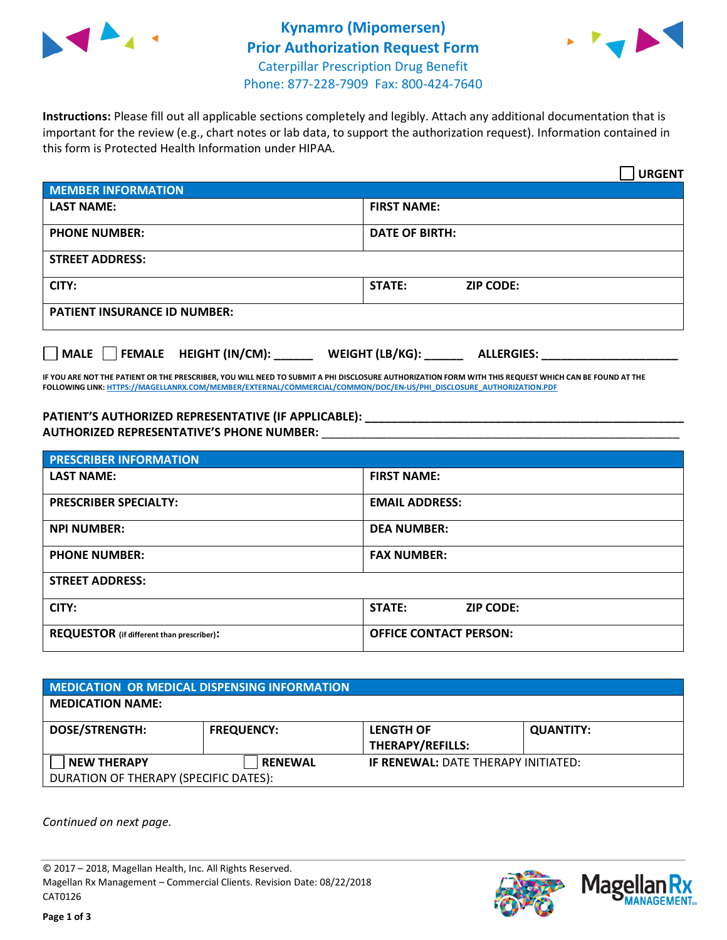



**Instructions:** Please fill out all applicable sections completely and legibly. Attach any additional documentation that is important for the review (e.g., chart notes or lab data, to support the authorization request). Information contained in this form is Protected Health Information under HIPAA.

|                                       | <b>URGENT</b>                        |  |  |  |
|---------------------------------------|--------------------------------------|--|--|--|
| <b>MEMBER INFORMATION</b>             |                                      |  |  |  |
| <b>LAST NAME:</b>                     | <b>FIRST NAME:</b>                   |  |  |  |
| <b>PHONE NUMBER:</b>                  | <b>DATE OF BIRTH:</b>                |  |  |  |
| <b>STREET ADDRESS:</b>                |                                      |  |  |  |
| CITY:                                 | <b>STATE:</b><br><b>ZIP CODE:</b>    |  |  |  |
| <b>PATIENT INSURANCE ID NUMBER:</b>   |                                      |  |  |  |
| FEMALE HEIGHT (IN/CM):<br><b>MALE</b> | WEIGHT (LB/KG):<br><b>ALLERGIES:</b> |  |  |  |

**IF YOU ARE NOT THE PATIENT OR THE PRESCRIBER, YOU WILL NEED TO SUBMIT A PHI DISCLOSURE AUTHORIZATION FORM WITH THIS REQUEST WHICH CAN BE FOUND AT THE FOLLOWING LINK[: HTTPS://MAGELLANRX.COM/MEMBER/EXTERNAL/COMMERCIAL/COMMON/DOC/EN-US/PHI\\_DISCLOSURE\\_AUTHORIZATION.PDF](https://magellanrx.com/member/external/commercial/common/doc/en-us/PHI_Disclosure_Authorization.pdf)**

**PATIENT'S AUTHORIZED REPRESENTATIVE (IF APPLICABLE): \_\_\_\_\_\_\_\_\_\_\_\_\_\_\_\_\_\_\_\_\_\_\_\_\_\_\_\_\_\_\_\_\_\_\_\_\_\_\_\_\_\_\_\_\_\_\_\_\_ AUTHORIZED REPRESENTATIVE'S PHONE NUMBER:** \_\_\_\_\_\_\_\_\_\_\_\_\_\_\_\_\_\_\_\_\_\_\_\_\_\_\_\_\_\_\_\_\_\_\_\_\_\_\_\_\_\_\_\_\_\_\_\_\_\_\_\_\_\_\_

| <b>PRESCRIBER INFORMATION</b>             |                               |  |  |  |
|-------------------------------------------|-------------------------------|--|--|--|
| <b>LAST NAME:</b>                         | <b>FIRST NAME:</b>            |  |  |  |
| <b>PRESCRIBER SPECIALTY:</b>              | <b>EMAIL ADDRESS:</b>         |  |  |  |
| <b>NPI NUMBER:</b>                        | <b>DEA NUMBER:</b>            |  |  |  |
| <b>PHONE NUMBER:</b>                      | <b>FAX NUMBER:</b>            |  |  |  |
| <b>STREET ADDRESS:</b>                    |                               |  |  |  |
| CITY:                                     | STATE:<br><b>ZIP CODE:</b>    |  |  |  |
| REQUESTOR (if different than prescriber): | <b>OFFICE CONTACT PERSON:</b> |  |  |  |

| <b>MEDICATION OR MEDICAL DISPENSING INFORMATION</b> |                   |                                            |                  |  |  |
|-----------------------------------------------------|-------------------|--------------------------------------------|------------------|--|--|
| <b>MEDICATION NAME:</b>                             |                   |                                            |                  |  |  |
| <b>DOSE/STRENGTH:</b>                               | <b>FREQUENCY:</b> | <b>LENGTH OF</b>                           | <b>QUANTITY:</b> |  |  |
|                                                     |                   | <b>THERAPY/REFILLS:</b>                    |                  |  |  |
| <b>NEW THERAPY</b>                                  | <b>RENEWAL</b>    | <b>IF RENEWAL: DATE THERAPY INITIATED:</b> |                  |  |  |
| DURATION OF THERAPY (SPECIFIC DATES):               |                   |                                            |                  |  |  |

*Continued on next page.*

© 2017 – 2018, Magellan Health, Inc. All Rights Reserved. Magellan Rx Management – Commercial Clients. Revision Date: 08/22/2018 CAT0126



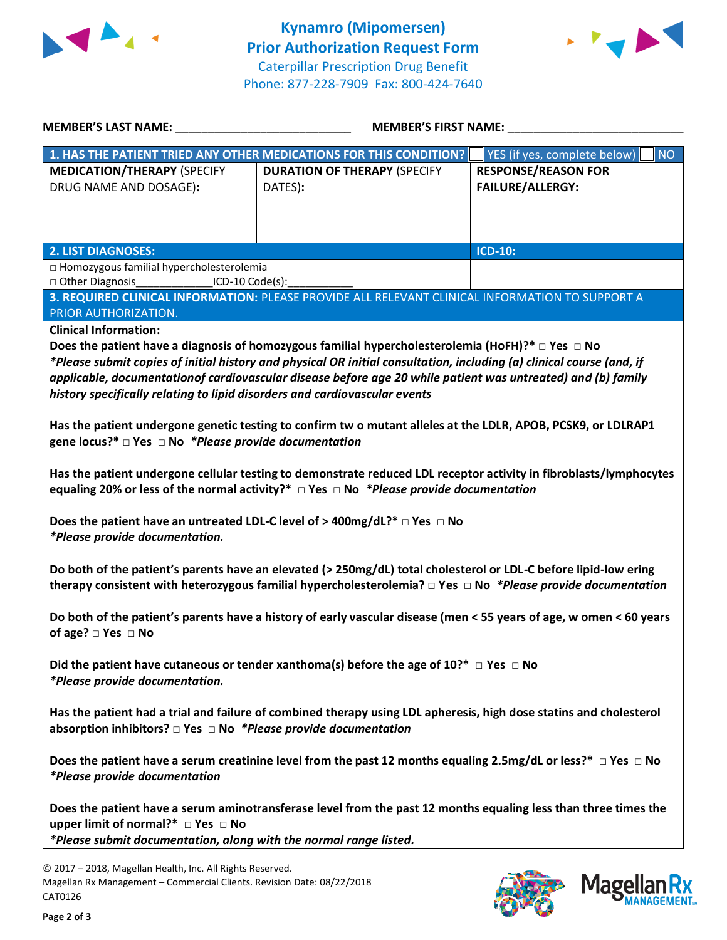



| <b>MEMBER'S LAST NAME:</b>                                                                                              | <b>MEMBER'S FIRST NAME:</b>                                                                                           |                                           |  |  |
|-------------------------------------------------------------------------------------------------------------------------|-----------------------------------------------------------------------------------------------------------------------|-------------------------------------------|--|--|
|                                                                                                                         | 1. HAS THE PATIENT TRIED ANY OTHER MEDICATIONS FOR THIS CONDITION?                                                    | YES (if yes, complete below)<br><b>NO</b> |  |  |
| <b>MEDICATION/THERAPY (SPECIFY</b>                                                                                      | <b>DURATION OF THERAPY (SPECIFY</b>                                                                                   | <b>RESPONSE/REASON FOR</b>                |  |  |
| DRUG NAME AND DOSAGE):                                                                                                  | DATES):                                                                                                               | <b>FAILURE/ALLERGY:</b>                   |  |  |
|                                                                                                                         |                                                                                                                       |                                           |  |  |
|                                                                                                                         |                                                                                                                       |                                           |  |  |
|                                                                                                                         |                                                                                                                       |                                           |  |  |
| <b>2. LIST DIAGNOSES:</b>                                                                                               |                                                                                                                       | ICD-10:                                   |  |  |
| □ Homozygous familial hypercholesterolemia                                                                              |                                                                                                                       |                                           |  |  |
| □ Other Diagnosis<br>$ICD-10 Code(s):$                                                                                  |                                                                                                                       |                                           |  |  |
|                                                                                                                         | 3. REQUIRED CLINICAL INFORMATION: PLEASE PROVIDE ALL RELEVANT CLINICAL INFORMATION TO SUPPORT A                       |                                           |  |  |
| PRIOR AUTHORIZATION.                                                                                                    |                                                                                                                       |                                           |  |  |
| <b>Clinical Information:</b>                                                                                            |                                                                                                                       |                                           |  |  |
|                                                                                                                         | Does the patient have a diagnosis of homozygous familial hypercholesterolemia (HoFH)?* $\Box$ Yes $\Box$ No           |                                           |  |  |
|                                                                                                                         | *Please submit copies of initial history and physical OR initial consultation, including (a) clinical course (and, if |                                           |  |  |
|                                                                                                                         | applicable, documentationof cardiovascular disease before age 20 while patient was untreated) and (b) family          |                                           |  |  |
| history specifically relating to lipid disorders and cardiovascular events                                              |                                                                                                                       |                                           |  |  |
|                                                                                                                         |                                                                                                                       |                                           |  |  |
|                                                                                                                         | Has the patient undergone genetic testing to confirm tw o mutant alleles at the LDLR, APOB, PCSK9, or LDLRAP1         |                                           |  |  |
| gene locus?* $\Box$ Yes $\Box$ No *Please provide documentation                                                         |                                                                                                                       |                                           |  |  |
|                                                                                                                         |                                                                                                                       |                                           |  |  |
|                                                                                                                         | Has the patient undergone cellular testing to demonstrate reduced LDL receptor activity in fibroblasts/lymphocytes    |                                           |  |  |
|                                                                                                                         | equaling 20% or less of the normal activity?* $\Box$ Yes $\Box$ No *Please provide documentation                      |                                           |  |  |
|                                                                                                                         | Does the patient have an untreated LDL-C level of > 400mg/dL?* $\Box$ Yes $\Box$ No                                   |                                           |  |  |
| *Please provide documentation.                                                                                          |                                                                                                                       |                                           |  |  |
|                                                                                                                         |                                                                                                                       |                                           |  |  |
|                                                                                                                         | Do both of the patient's parents have an elevated (> 250mg/dL) total cholesterol or LDL-C before lipid-low ering      |                                           |  |  |
|                                                                                                                         |                                                                                                                       |                                           |  |  |
| therapy consistent with heterozygous familial hypercholesterolemia? $\Box$ Yes $\Box$ No *Please provide documentation  |                                                                                                                       |                                           |  |  |
| Do both of the patient's parents have a history of early vascular disease (men < 55 years of age, w omen < 60 years     |                                                                                                                       |                                           |  |  |
| of age? $\square$ Yes $\square$ No                                                                                      |                                                                                                                       |                                           |  |  |
|                                                                                                                         |                                                                                                                       |                                           |  |  |
| Did the patient have cutaneous or tender xanthoma(s) before the age of 10?* $\Box$ Yes $\Box$ No                        |                                                                                                                       |                                           |  |  |
| *Please provide documentation.                                                                                          |                                                                                                                       |                                           |  |  |
|                                                                                                                         |                                                                                                                       |                                           |  |  |
| Has the patient had a trial and failure of combined therapy using LDL apheresis, high dose statins and cholesterol      |                                                                                                                       |                                           |  |  |
| absorption inhibitors? $\square$ Yes $\square$ No *Please provide documentation                                         |                                                                                                                       |                                           |  |  |
|                                                                                                                         |                                                                                                                       |                                           |  |  |
| Does the patient have a serum creatinine level from the past 12 months equaling 2.5mg/dL or less?* $\Box$ Yes $\Box$ No |                                                                                                                       |                                           |  |  |
| <i>*Please provide documentation</i>                                                                                    |                                                                                                                       |                                           |  |  |
|                                                                                                                         |                                                                                                                       |                                           |  |  |
| Does the patient have a serum aminotransferase level from the past 12 months equaling less than three times the         |                                                                                                                       |                                           |  |  |
| upper limit of normal?* □ Yes □ No                                                                                      |                                                                                                                       |                                           |  |  |
| *Please submit documentation, along with the normal range listed.                                                       |                                                                                                                       |                                           |  |  |
|                                                                                                                         |                                                                                                                       |                                           |  |  |